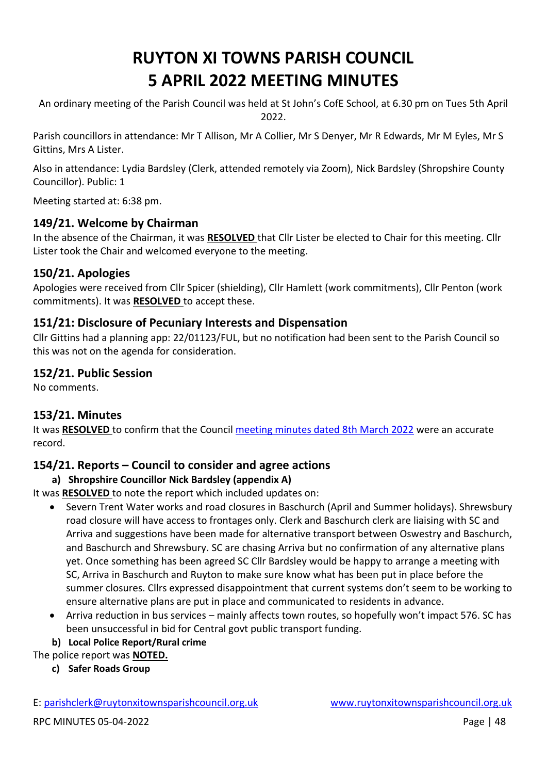# **RUYTON XI TOWNS PARISH COUNCIL 5 APRIL 2022 MEETING MINUTES**

An ordinary meeting of the Parish Council was held at St John's CofE School, at 6.30 pm on Tues 5th April 2022.

Parish councillors in attendance: Mr T Allison, Mr A Collier, Mr S Denyer, Mr R Edwards, Mr M Eyles, Mr S Gittins, Mrs A Lister.

Also in attendance: Lydia Bardsley (Clerk, attended remotely via Zoom), Nick Bardsley (Shropshire County Councillor). Public: 1

Meeting started at: 6:38 pm.

## **149/21. Welcome by Chairman**

In the absence of the Chairman, it was **RESOLVED** that Cllr Lister be elected to Chair for this meeting. Cllr Lister took the Chair and welcomed everyone to the meeting.

## **150/21. Apologies**

Apologies were received from Cllr Spicer (shielding), Cllr Hamlett (work commitments), Cllr Penton (work commitments). It was **RESOLVED** to accept these.

## **151/21: Disclosure of Pecuniary Interests and Dispensation**

Cllr Gittins had a planning app: 22/01123/FUL, but no notification had been sent to the Parish Council so this was not on the agenda for consideration.

## **152/21. Public Session**

No comments.

# **153/21. Minutes**

It was **RESOLVED** to confirm that the Council [meeting minutes dated 8th March 2022](http://www.ruytonxitownsparishcouncil.org.uk/wp-content/uploads/2022/03/March-2022-minutes.pdf) were an accurate record.

# **154/21. Reports – Council to consider and agree actions**

**a) Shropshire Councillor Nick Bardsley (appendix A)** 

It was **RESOLVED** to note the report which included updates on:

- Severn Trent Water works and road closures in Baschurch (April and Summer holidays). Shrewsbury road closure will have access to frontages only. Clerk and Baschurch clerk are liaising with SC and Arriva and suggestions have been made for alternative transport between Oswestry and Baschurch, and Baschurch and Shrewsbury. SC are chasing Arriva but no confirmation of any alternative plans yet. Once something has been agreed SC Cllr Bardsley would be happy to arrange a meeting with SC, Arriva in Baschurch and Ruyton to make sure know what has been put in place before the summer closures. Cllrs expressed disappointment that current systems don't seem to be working to ensure alternative plans are put in place and communicated to residents in advance.
- Arriva reduction in bus services mainly affects town routes, so hopefully won't impact 576. SC has been unsuccessful in bid for Central govt public transport funding.
- **b) Local Police Report/Rural crime**

#### The police report was **NOTED.**

**c) Safer Roads Group** 

E: [parishclerk@ruytonxitownsparishcouncil.org.uk](mailto:parishclerk@ruytonxitownsparishcouncil) [www.ruytonxitownsparishcouncil.org.uk](http://www.ruytonxitownsparishcouncil.org.uk/)

RPC MINUTES 05-04-2022 **Page 148**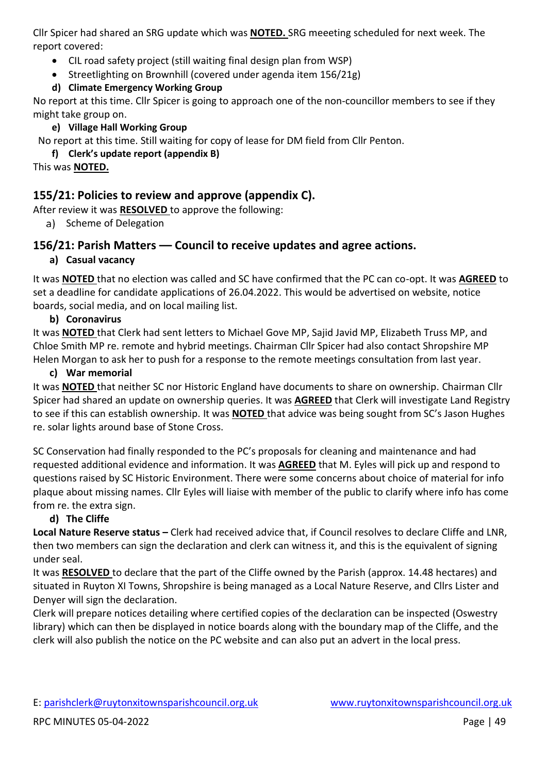Cllr Spicer had shared an SRG update which was **NOTED.** SRG meeeting scheduled for next week. The report covered:

- CIL road safety project (still waiting final design plan from WSP)
- Streetlighting on Brownhill (covered under agenda item 156/21g)

#### **d) Climate Emergency Working Group**

No report at this time. Cllr Spicer is going to approach one of the non-councillor members to see if they might take group on.

#### **e) Village Hall Working Group**

No report at this time. Still waiting for copy of lease for DM field from Cllr Penton.

#### **f) Clerk's update report (appendix B)**

This was **NOTED.**

## **155/21: Policies to review and approve (appendix C).**

After review it was **RESOLVED** to approve the following:

a) Scheme of Delegation

## **156/21: Parish Matters –– Council to receive updates and agree actions.**

#### **a) Casual vacancy**

It was **NOTED** that no election was called and SC have confirmed that the PC can co-opt. It was **AGREED** to set a deadline for candidate applications of 26.04.2022. This would be advertised on website, notice boards, social media, and on local mailing list.

#### **b) Coronavirus**

It was **NOTED** that Clerk had sent letters to Michael Gove MP, Sajid Javid MP, Elizabeth Truss MP, and Chloe Smith MP re. remote and hybrid meetings. Chairman Cllr Spicer had also contact Shropshire MP Helen Morgan to ask her to push for a response to the remote meetings consultation from last year.

#### **c) War memorial**

It was **NOTED** that neither SC nor Historic England have documents to share on ownership. Chairman Cllr Spicer had shared an update on ownership queries. It was **AGREED** that Clerk will investigate Land Registry to see if this can establish ownership. It was **NOTED** that advice was being sought from SC's Jason Hughes re. solar lights around base of Stone Cross.

SC Conservation had finally responded to the PC's proposals for cleaning and maintenance and had requested additional evidence and information. It was **AGREED** that M. Eyles will pick up and respond to questions raised by SC Historic Environment. There were some concerns about choice of material for info plaque about missing names. Cllr Eyles will liaise with member of the public to clarify where info has come from re. the extra sign.

#### **d) The Cliffe**

**Local Nature Reserve status –** Clerk had received advice that, if Council resolves to declare Cliffe and LNR, then two members can sign the declaration and clerk can witness it, and this is the equivalent of signing under seal.

It was **RESOLVED** to declare that the part of the Cliffe owned by the Parish (approx. 14.48 hectares) and situated in Ruyton XI Towns, Shropshire is being managed as a Local Nature Reserve, and Cllrs Lister and Denyer will sign the declaration.

Clerk will prepare notices detailing where certified copies of the declaration can be inspected (Oswestry library) which can then be displayed in notice boards along with the boundary map of the Cliffe, and the clerk will also publish the notice on the PC website and can also put an advert in the local press.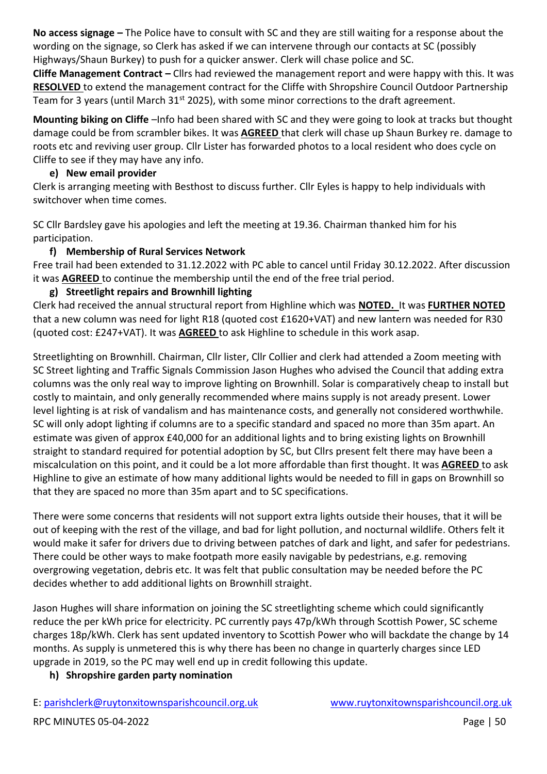**No access signage –** The Police have to consult with SC and they are still waiting for a response about the wording on the signage, so Clerk has asked if we can intervene through our contacts at SC (possibly Highways/Shaun Burkey) to push for a quicker answer. Clerk will chase police and SC.

**Cliffe Management Contract –** Cllrs had reviewed the management report and were happy with this. It was **RESOLVED** to extend the management contract for the Cliffe with Shropshire Council Outdoor Partnership Team for 3 years (until March 31<sup>st</sup> 2025), with some minor corrections to the draft agreement.

**Mounting biking on Cliffe** –Info had been shared with SC and they were going to look at tracks but thought damage could be from scrambler bikes. It was **AGREED** that clerk will chase up Shaun Burkey re. damage to roots etc and reviving user group. Cllr Lister has forwarded photos to a local resident who does cycle on Cliffe to see if they may have any info.

#### **e) New email provider**

Clerk is arranging meeting with Besthost to discuss further. Cllr Eyles is happy to help individuals with switchover when time comes.

SC Cllr Bardsley gave his apologies and left the meeting at 19.36. Chairman thanked him for his participation.

#### **f) Membership of Rural Services Network**

Free trail had been extended to 31.12.2022 with PC able to cancel until Friday 30.12.2022. After discussion it was **AGREED** to continue the membership until the end of the free trial period.

#### **g) Streetlight repairs and Brownhill lighting**

Clerk had received the annual structural report from Highline which was **NOTED.** It was **FURTHER NOTED**  that a new column was need for light R18 (quoted cost £1620+VAT) and new lantern was needed for R30 (quoted cost: £247+VAT). It was **AGREED** to ask Highline to schedule in this work asap.

Streetlighting on Brownhill. Chairman, Cllr lister, Cllr Collier and clerk had attended a Zoom meeting with SC Street lighting and Traffic Signals Commission Jason Hughes who advised the Council that adding extra columns was the only real way to improve lighting on Brownhill. Solar is comparatively cheap to install but costly to maintain, and only generally recommended where mains supply is not aready present. Lower level lighting is at risk of vandalism and has maintenance costs, and generally not considered worthwhile. SC will only adopt lighting if columns are to a specific standard and spaced no more than 35m apart. An estimate was given of approx £40,000 for an additional lights and to bring existing lights on Brownhill straight to standard required for potential adoption by SC, but Cllrs present felt there may have been a miscalculation on this point, and it could be a lot more affordable than first thought. It was **AGREED** to ask Highline to give an estimate of how many additional lights would be needed to fill in gaps on Brownhill so that they are spaced no more than 35m apart and to SC specifications.

There were some concerns that residents will not support extra lights outside their houses, that it will be out of keeping with the rest of the village, and bad for light pollution, and nocturnal wildlife. Others felt it would make it safer for drivers due to driving between patches of dark and light, and safer for pedestrians. There could be other ways to make footpath more easily navigable by pedestrians, e.g. removing overgrowing vegetation, debris etc. It was felt that public consultation may be needed before the PC decides whether to add additional lights on Brownhill straight.

Jason Hughes will share information on joining the SC streetlighting scheme which could significantly reduce the per kWh price for electricity. PC currently pays 47p/kWh through Scottish Power, SC scheme charges 18p/kWh. Clerk has sent updated inventory to Scottish Power who will backdate the change by 14 months. As supply is unmetered this is why there has been no change in quarterly charges since LED upgrade in 2019, so the PC may well end up in credit following this update.

#### **h) Shropshire garden party nomination**

E: [parishclerk@ruytonxitownsparishcouncil.org.uk](mailto:parishclerk@ruytonxitownsparishcouncil) [www.ruytonxitownsparishcouncil.org.uk](http://www.ruytonxitownsparishcouncil.org.uk/)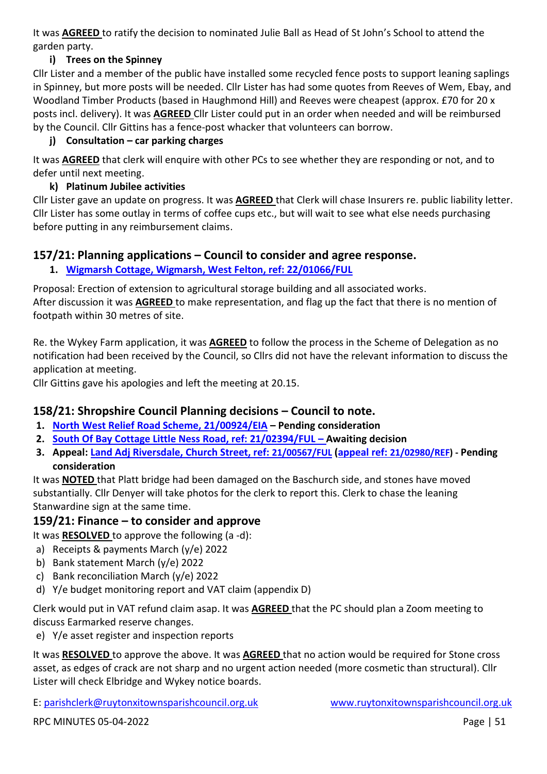It was **AGREED** to ratify the decision to nominated Julie Ball as Head of St John's School to attend the garden party.

#### **i) Trees on the Spinney**

Cllr Lister and a member of the public have installed some recycled fence posts to support leaning saplings in Spinney, but more posts will be needed. Cllr Lister has had some quotes from Reeves of Wem, Ebay, and Woodland Timber Products (based in Haughmond Hill) and Reeves were cheapest (approx. £70 for 20 x posts incl. delivery). It was **AGREED** Cllr Lister could put in an order when needed and will be reimbursed by the Council. Cllr Gittins has a fence-post whacker that volunteers can borrow.

#### **j) Consultation – car parking charges**

It was **AGREED** that clerk will enquire with other PCs to see whether they are responding or not, and to defer until next meeting.

#### **k) Platinum Jubilee activities**

Cllr Lister gave an update on progress. It was **AGREED** that Clerk will chase Insurers re. public liability letter. Cllr Lister has some outlay in terms of coffee cups etc., but will wait to see what else needs purchasing before putting in any reimbursement claims.

## **157/21: Planning applications – Council to consider and agree response.**

## **1. [Wigmarsh Cottage, Wigmarsh, West Felton, ref: 22/01066/FUL](https://pa.shropshire.gov.uk/online-applications/applicationDetails.do?activeTab=summary&keyVal=R86NGDTDM0200)**

Proposal: Erection of extension to agricultural storage building and all associated works. After discussion it was **AGREED** to make representation, and flag up the fact that there is no mention of footpath within 30 metres of site.

Re. the Wykey Farm application, it was **AGREED** to follow the process in the Scheme of Delegation as no notification had been received by the Council, so Cllrs did not have the relevant information to discuss the application at meeting.

Cllr Gittins gave his apologies and left the meeting at 20.15.

# **158/21: Shropshire Council Planning decisions – Council to note.**

- **1. [North West Relief Road Scheme, 21/00924/EIA](https://pa.shropshire.gov.uk/online-applications/applicationDetails.do?activeTab=summary&keyVal=QOXI5QTD06Z00) – Pending consideration**
- **2. [South Of Bay Cottage Little Ness Road, ref: 21/02394/FUL](https://pa.shropshire.gov.uk/online-applications/applicationDetails.do?activeTab=summary&keyVal=QSWEBQTD06Z00) – Awaiting decision**
- **3. Appeal: [Land Adj Riversdale, Church Street, ref:](https://pa.shropshire.gov.uk/online-applications/applicationDetails.do?activeTab=summary&keyVal=QNYVN9TDKGI00) [21/00567/FUL](https://pa.shropshire.gov.uk/online-applications/applicationDetails.do?activeTab=summary&keyVal=QNYVN9TDKGI00) [\(appeal ref:](https://pa.shropshire.gov.uk/online-applications/appealDetails.do?activeTab=summary&keyVal=R4ICPBTD01O00) [21/02980/REF\)](https://pa.shropshire.gov.uk/online-applications/appealDetails.do?activeTab=summary&keyVal=R4ICPBTD01O00) - Pending consideration**

It was **NOTED** that Platt bridge had been damaged on the Baschurch side, and stones have moved substantially. Cllr Denyer will take photos for the clerk to report this. Clerk to chase the leaning Stanwardine sign at the same time.

# **159/21: Finance – to consider and approve**

It was **RESOLVED** to approve the following (a -d):

- a) Receipts & payments March (y/e) 2022
- b) Bank statement March (y/e) 2022
- c) Bank reconciliation March (y/e) 2022
- d) Y/e budget monitoring report and VAT claim (appendix D)

Clerk would put in VAT refund claim asap. It was **AGREED** that the PC should plan a Zoom meeting to discuss Earmarked reserve changes.

e) Y/e asset register and inspection reports

It was **RESOLVED** to approve the above. It was **AGREED** that no action would be required for Stone cross asset, as edges of crack are not sharp and no urgent action needed (more cosmetic than structural). Cllr Lister will check Elbridge and Wykey notice boards.

E: [parishclerk@ruytonxitownsparishcouncil.org.uk](mailto:parishclerk@ruytonxitownsparishcouncil) [www.ruytonxitownsparishcouncil.org.uk](http://www.ruytonxitownsparishcouncil.org.uk/)

RPC MINUTES 05-04-2022 **Page | 51**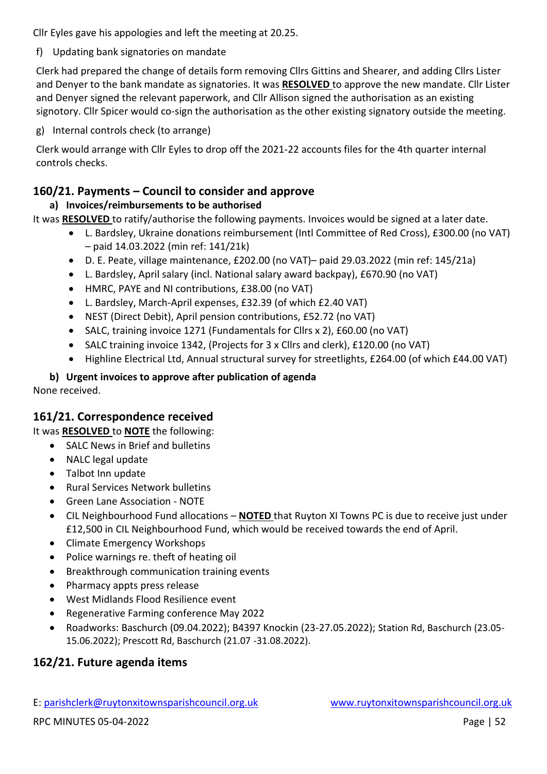Cllr Eyles gave his appologies and left the meeting at 20.25.

f) Updating bank signatories on mandate

Clerk had prepared the change of details form removing Cllrs Gittins and Shearer, and adding Cllrs Lister and Denyer to the bank mandate as signatories. It was **RESOLVED** to approve the new mandate. Cllr Lister and Denyer signed the relevant paperwork, and Cllr Allison signed the authorisation as an existing signotory. Cllr Spicer would co-sign the authorisation as the other existing signatory outside the meeting.

g) Internal controls check (to arrange)

Clerk would arrange with Cllr Eyles to drop off the 2021-22 accounts files for the 4th quarter internal controls checks.

# **160/21. Payments – Council to consider and approve**

# **a) Invoices/reimbursements to be authorised**

It was **RESOLVED** to ratify/authorise the following payments. Invoices would be signed at a later date.

- L. Bardsley, Ukraine donations reimbursement (Intl Committee of Red Cross), £300.00 (no VAT) – paid 14.03.2022 (min ref: 141/21k)
- D. E. Peate, village maintenance, £202.00 (no VAT)– paid 29.03.2022 (min ref: 145/21a)
- L. Bardsley, April salary (incl. National salary award backpay), £670.90 (no VAT)
- HMRC, PAYE and NI contributions, £38.00 (no VAT)
- L. Bardsley, March-April expenses, £32.39 (of which £2.40 VAT)
- NEST (Direct Debit), April pension contributions, £52.72 (no VAT)
- SALC, training invoice 1271 (Fundamentals for Cllrs x 2), £60.00 (no VAT)
- SALC training invoice 1342, (Projects for 3 x Cllrs and clerk), £120.00 (no VAT)
- Highline Electrical Ltd, Annual structural survey for streetlights, £264.00 (of which £44.00 VAT)

#### **b) Urgent invoices to approve after publication of agenda** None received.

# **161/21. Correspondence received**

It was **RESOLVED** to **NOTE** the following:

- SALC News in Brief and bulletins
- NALC legal update
- Talbot Inn update
- Rural Services Network bulletins
- Green Lane Association NOTE
- CIL Neighbourhood Fund allocations **NOTED** that Ruyton XI Towns PC is due to receive just under £12,500 in CIL Neighbourhood Fund, which would be received towards the end of April.
- Climate Emergency Workshops
- Police warnings re. theft of heating oil
- Breakthrough communication training events
- Pharmacy appts press release
- West Midlands Flood Resilience event
- Regenerative Farming conference May 2022
- Roadworks: Baschurch (09.04.2022); B4397 Knockin (23-27.05.2022); Station Rd, Baschurch (23.05- 15.06.2022); Prescott Rd, Baschurch (21.07 -31.08.2022).

# **162/21. Future agenda items**

E: [parishclerk@ruytonxitownsparishcouncil.org.uk](mailto:parishclerk@ruytonxitownsparishcouncil) [www.ruytonxitownsparishcouncil.org.uk](http://www.ruytonxitownsparishcouncil.org.uk/)